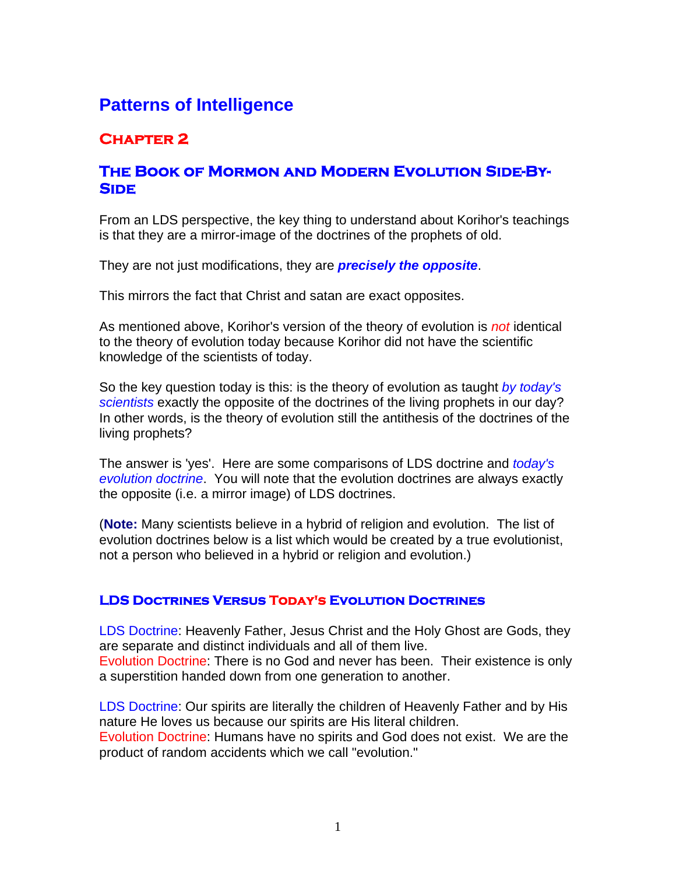# **Patterns of Intelligence**

## **Chapter 2**

### **The Book of Mormon and Modern Evolution Side-By-Side**

From an LDS perspective, the key thing to understand about Korihor's teachings is that they are a mirror-image of the doctrines of the prophets of old.

They are not just modifications, they are *precisely the opposite*.

This mirrors the fact that Christ and satan are exact opposites.

As mentioned above, Korihor's version of the theory of evolution is *not* identical to the theory of evolution today because Korihor did not have the scientific knowledge of the scientists of today.

So the key question today is this: is the theory of evolution as taught *by today's scientists* exactly the opposite of the doctrines of the living prophets in our day? In other words, is the theory of evolution still the antithesis of the doctrines of the living prophets?

The answer is 'yes'. Here are some comparisons of LDS doctrine and *today's evolution doctrine*. You will note that the evolution doctrines are always exactly the opposite (i.e. a mirror image) of LDS doctrines.

(**Note:** Many scientists believe in a hybrid of religion and evolution. The list of evolution doctrines below is a list which would be created by a true evolutionist, not a person who believed in a hybrid or religion and evolution.)

#### **LDS Doctrines Versus Today's Evolution Doctrines**

LDS Doctrine: Heavenly Father, Jesus Christ and the Holy Ghost are Gods, they are separate and distinct individuals and all of them live. Evolution Doctrine: There is no God and never has been. Their existence is only a superstition handed down from one generation to another.

LDS Doctrine: Our spirits are literally the children of Heavenly Father and by His nature He loves us because our spirits are His literal children.

Evolution Doctrine: Humans have no spirits and God does not exist. We are the product of random accidents which we call "evolution."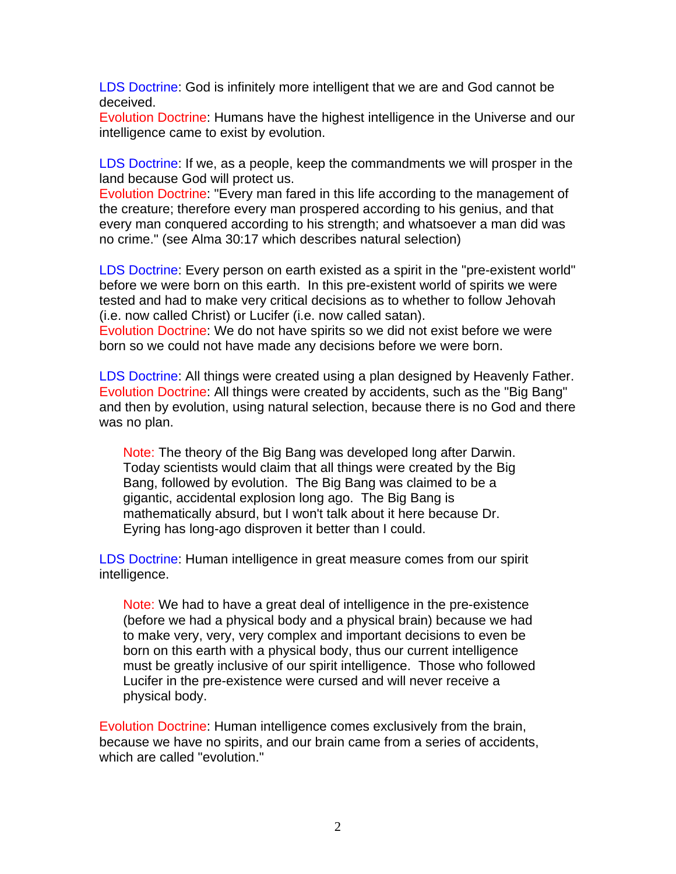LDS Doctrine: God is infinitely more intelligent that we are and God cannot be deceived.

Evolution Doctrine: Humans have the highest intelligence in the Universe and our intelligence came to exist by evolution.

LDS Doctrine: If we, as a people, keep the commandments we will prosper in the land because God will protect us.

Evolution Doctrine: "Every man fared in this life according to the management of the creature; therefore every man prospered according to his genius, and that every man conquered according to his strength; and whatsoever a man did was no crime." (see Alma 30:17 which describes natural selection)

LDS Doctrine: Every person on earth existed as a spirit in the "pre-existent world" before we were born on this earth. In this pre-existent world of spirits we were tested and had to make very critical decisions as to whether to follow Jehovah (i.e. now called Christ) or Lucifer (i.e. now called satan).

Evolution Doctrine: We do not have spirits so we did not exist before we were born so we could not have made any decisions before we were born.

LDS Doctrine: All things were created using a plan designed by Heavenly Father. Evolution Doctrine: All things were created by accidents, such as the "Big Bang" and then by evolution, using natural selection, because there is no God and there was no plan.

Note: The theory of the Big Bang was developed long after Darwin. Today scientists would claim that all things were created by the Big Bang, followed by evolution. The Big Bang was claimed to be a gigantic, accidental explosion long ago. The Big Bang is mathematically absurd, but I won't talk about it here because Dr. Eyring has long-ago disproven it better than I could.

LDS Doctrine: Human intelligence in great measure comes from our spirit intelligence.

Note: We had to have a great deal of intelligence in the pre-existence (before we had a physical body and a physical brain) because we had to make very, very, very complex and important decisions to even be born on this earth with a physical body, thus our current intelligence must be greatly inclusive of our spirit intelligence. Those who followed Lucifer in the pre-existence were cursed and will never receive a physical body.

Evolution Doctrine: Human intelligence comes exclusively from the brain, because we have no spirits, and our brain came from a series of accidents, which are called "evolution."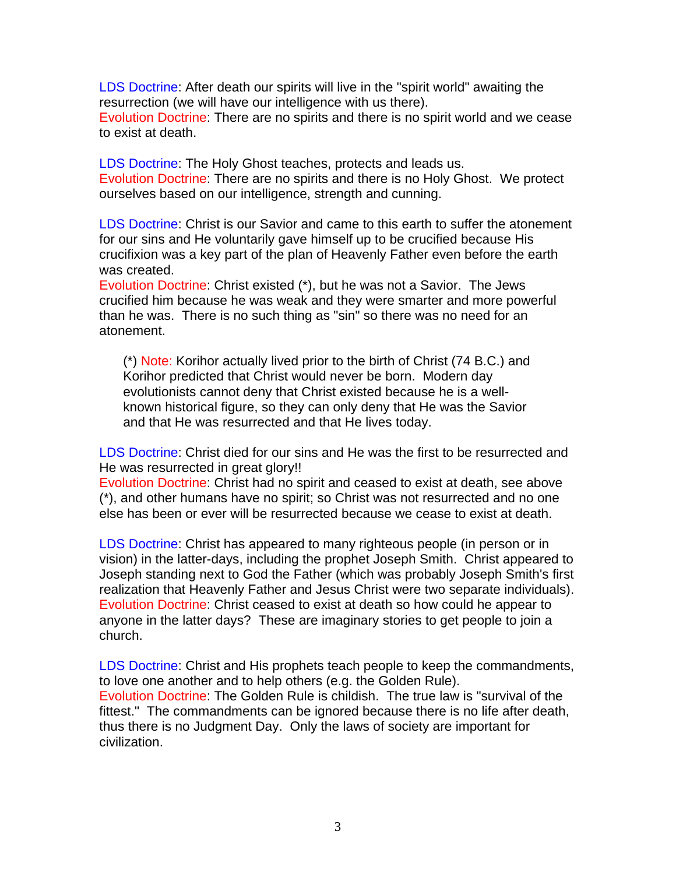LDS Doctrine: After death our spirits will live in the "spirit world" awaiting the resurrection (we will have our intelligence with us there).

Evolution Doctrine: There are no spirits and there is no spirit world and we cease to exist at death.

LDS Doctrine: The Holy Ghost teaches, protects and leads us. Evolution Doctrine: There are no spirits and there is no Holy Ghost. We protect ourselves based on our intelligence, strength and cunning.

LDS Doctrine: Christ is our Savior and came to this earth to suffer the atonement for our sins and He voluntarily gave himself up to be crucified because His crucifixion was a key part of the plan of Heavenly Father even before the earth was created.

Evolution Doctrine: Christ existed (\*), but he was not a Savior. The Jews crucified him because he was weak and they were smarter and more powerful than he was. There is no such thing as "sin" so there was no need for an atonement.

(\*) Note: Korihor actually lived prior to the birth of Christ (74 B.C.) and Korihor predicted that Christ would never be born. Modern day evolutionists cannot deny that Christ existed because he is a wellknown historical figure, so they can only deny that He was the Savior and that He was resurrected and that He lives today.

LDS Doctrine: Christ died for our sins and He was the first to be resurrected and He was resurrected in great glory!!

Evolution Doctrine: Christ had no spirit and ceased to exist at death, see above (\*), and other humans have no spirit; so Christ was not resurrected and no one else has been or ever will be resurrected because we cease to exist at death.

LDS Doctrine: Christ has appeared to many righteous people (in person or in vision) in the latter-days, including the prophet Joseph Smith. Christ appeared to Joseph standing next to God the Father (which was probably Joseph Smith's first realization that Heavenly Father and Jesus Christ were two separate individuals). Evolution Doctrine: Christ ceased to exist at death so how could he appear to anyone in the latter days? These are imaginary stories to get people to join a church.

LDS Doctrine: Christ and His prophets teach people to keep the commandments, to love one another and to help others (e.g. the Golden Rule). Evolution Doctrine: The Golden Rule is childish. The true law is "survival of the fittest." The commandments can be ignored because there is no life after death, thus there is no Judgment Day. Only the laws of society are important for civilization.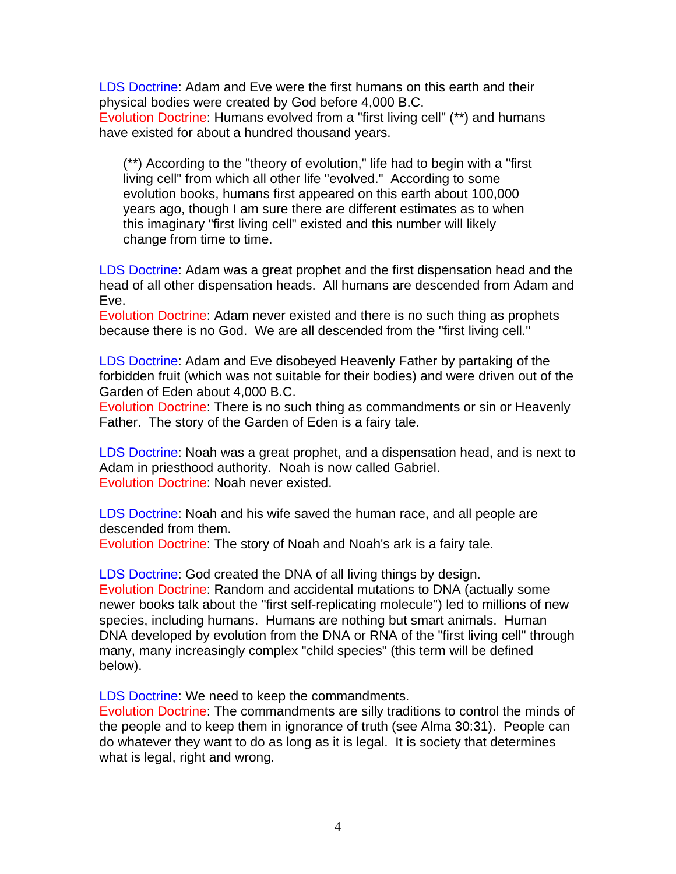LDS Doctrine: Adam and Eve were the first humans on this earth and their physical bodies were created by God before 4,000 B.C. Evolution Doctrine: Humans evolved from a "first living cell" (\*\*) and humans have existed for about a hundred thousand years.

(\*\*) According to the "theory of evolution," life had to begin with a "first living cell" from which all other life "evolved." According to some evolution books, humans first appeared on this earth about 100,000 years ago, though I am sure there are different estimates as to when this imaginary "first living cell" existed and this number will likely change from time to time.

LDS Doctrine: Adam was a great prophet and the first dispensation head and the head of all other dispensation heads. All humans are descended from Adam and Eve.

Evolution Doctrine: Adam never existed and there is no such thing as prophets because there is no God. We are all descended from the "first living cell."

LDS Doctrine: Adam and Eve disobeyed Heavenly Father by partaking of the forbidden fruit (which was not suitable for their bodies) and were driven out of the Garden of Eden about 4,000 B.C.

Evolution Doctrine: There is no such thing as commandments or sin or Heavenly Father. The story of the Garden of Eden is a fairy tale.

LDS Doctrine: Noah was a great prophet, and a dispensation head, and is next to Adam in priesthood authority. Noah is now called Gabriel. Evolution Doctrine: Noah never existed.

LDS Doctrine: Noah and his wife saved the human race, and all people are descended from them.

Evolution Doctrine: The story of Noah and Noah's ark is a fairy tale.

LDS Doctrine: God created the DNA of all living things by design. Evolution Doctrine: Random and accidental mutations to DNA (actually some newer books talk about the "first self-replicating molecule") led to millions of new species, including humans. Humans are nothing but smart animals. Human DNA developed by evolution from the DNA or RNA of the "first living cell" through many, many increasingly complex "child species" (this term will be defined below).

LDS Doctrine: We need to keep the commandments.

Evolution Doctrine: The commandments are silly traditions to control the minds of the people and to keep them in ignorance of truth (see Alma 30:31). People can do whatever they want to do as long as it is legal. It is society that determines what is legal, right and wrong.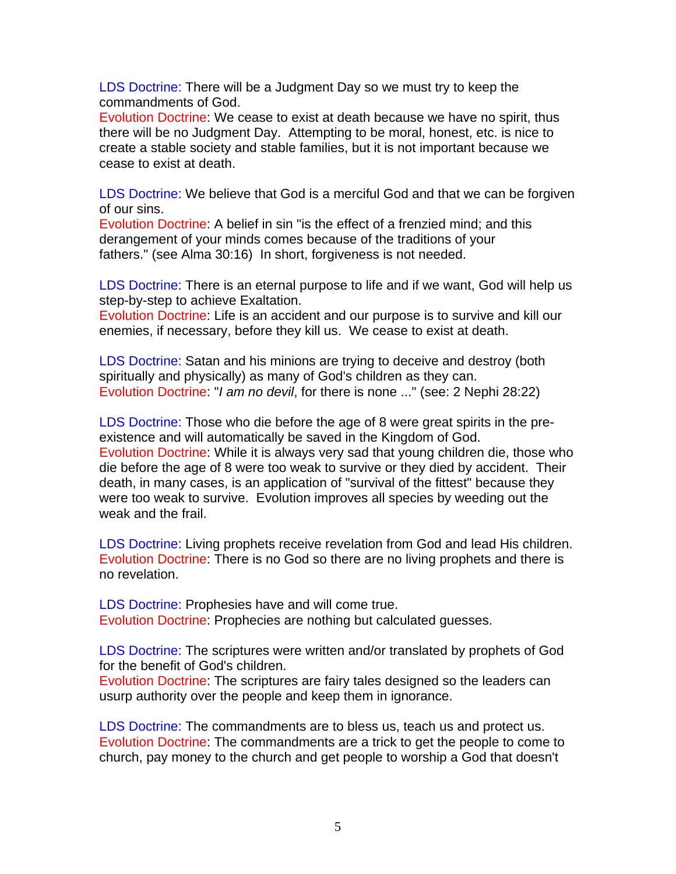LDS Doctrine: There will be a Judgment Day so we must try to keep the commandments of God.

Evolution Doctrine: We cease to exist at death because we have no spirit, thus there will be no Judgment Day. Attempting to be moral, honest, etc. is nice to create a stable society and stable families, but it is not important because we cease to exist at death.

LDS Doctrine: We believe that God is a merciful God and that we can be forgiven of our sins.

Evolution Doctrine: A belief in sin "is the effect of a frenzied mind; and this derangement of your minds comes because of the traditions of your fathers." (see Alma 30:16) In short, forgiveness is not needed.

LDS Doctrine: There is an eternal purpose to life and if we want, God will help us step-by-step to achieve Exaltation.

Evolution Doctrine: Life is an accident and our purpose is to survive and kill our enemies, if necessary, before they kill us. We cease to exist at death.

LDS Doctrine: Satan and his minions are trying to deceive and destroy (both spiritually and physically) as many of God's children as they can. Evolution Doctrine: "*I am no devil*, for there is none ..." (see: 2 Nephi 28:22)

LDS Doctrine: Those who die before the age of 8 were great spirits in the preexistence and will automatically be saved in the Kingdom of God. Evolution Doctrine: While it is always very sad that young children die, those who die before the age of 8 were too weak to survive or they died by accident. Their death, in many cases, is an application of "survival of the fittest" because they were too weak to survive. Evolution improves all species by weeding out the weak and the frail.

LDS Doctrine: Living prophets receive revelation from God and lead His children. Evolution Doctrine: There is no God so there are no living prophets and there is no revelation.

LDS Doctrine: Prophesies have and will come true. Evolution Doctrine: Prophecies are nothing but calculated guesses.

LDS Doctrine: The scriptures were written and/or translated by prophets of God for the benefit of God's children.

Evolution Doctrine: The scriptures are fairy tales designed so the leaders can usurp authority over the people and keep them in ignorance.

LDS Doctrine: The commandments are to bless us, teach us and protect us. Evolution Doctrine: The commandments are a trick to get the people to come to church, pay money to the church and get people to worship a God that doesn't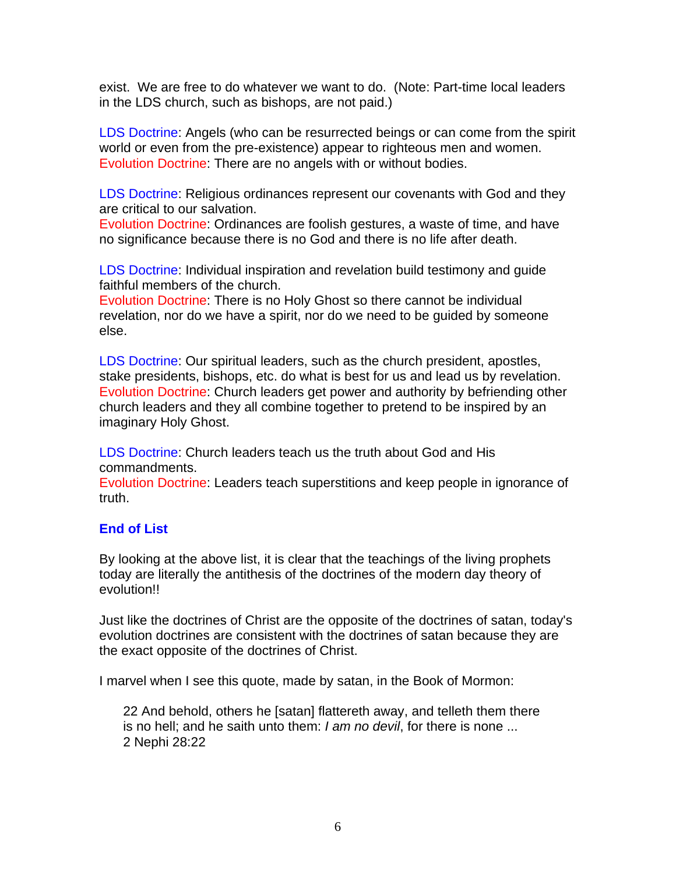exist. We are free to do whatever we want to do. (Note: Part-time local leaders in the LDS church, such as bishops, are not paid.)

LDS Doctrine: Angels (who can be resurrected beings or can come from the spirit world or even from the pre-existence) appear to righteous men and women. Evolution Doctrine: There are no angels with or without bodies.

LDS Doctrine: Religious ordinances represent our covenants with God and they are critical to our salvation.

Evolution Doctrine: Ordinances are foolish gestures, a waste of time, and have no significance because there is no God and there is no life after death.

LDS Doctrine: Individual inspiration and revelation build testimony and guide faithful members of the church.

Evolution Doctrine: There is no Holy Ghost so there cannot be individual revelation, nor do we have a spirit, nor do we need to be guided by someone else.

LDS Doctrine: Our spiritual leaders, such as the church president, apostles, stake presidents, bishops, etc. do what is best for us and lead us by revelation. Evolution Doctrine: Church leaders get power and authority by befriending other church leaders and they all combine together to pretend to be inspired by an imaginary Holy Ghost.

LDS Doctrine: Church leaders teach us the truth about God and His commandments.

Evolution Doctrine: Leaders teach superstitions and keep people in ignorance of truth.

#### **End of List**

By looking at the above list, it is clear that the teachings of the living prophets today are literally the antithesis of the doctrines of the modern day theory of evolution!!

Just like the doctrines of Christ are the opposite of the doctrines of satan, today's evolution doctrines are consistent with the doctrines of satan because they are the exact opposite of the doctrines of Christ.

I marvel when I see this quote, made by satan, in the Book of Mormon:

22 And behold, others he [satan] flattereth away, and telleth them there is no hell; and he saith unto them: *I am no devil*, for there is none ... 2 Nephi 28:22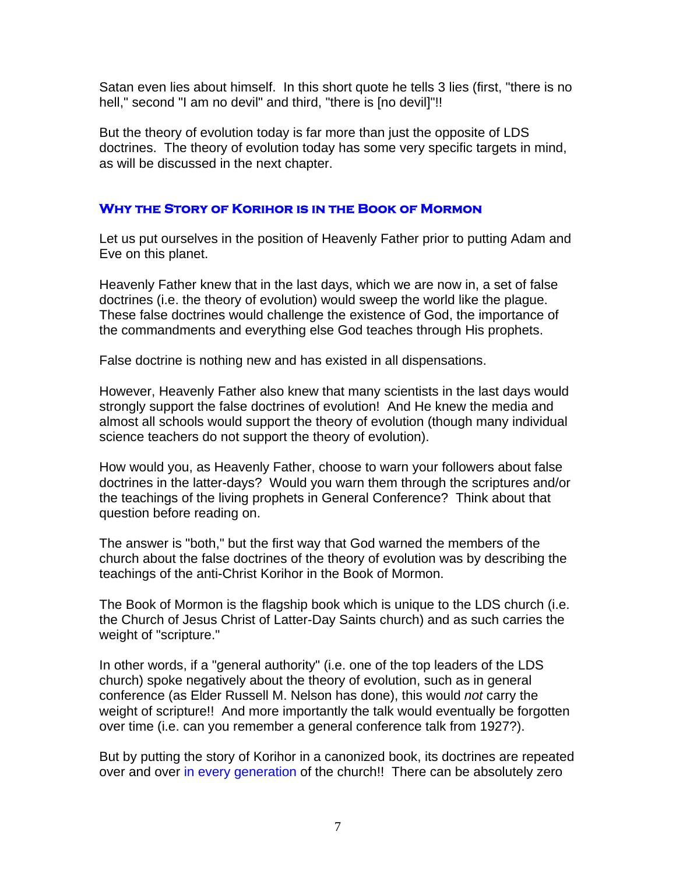Satan even lies about himself. In this short quote he tells 3 lies (first, "there is no hell," second "I am no devil" and third, "there is [no devil]"!!

But the theory of evolution today is far more than just the opposite of LDS doctrines. The theory of evolution today has some very specific targets in mind, as will be discussed in the next chapter.

#### **Why the Story of Korihor is in the Book of Mormon**

Let us put ourselves in the position of Heavenly Father prior to putting Adam and Eve on this planet.

Heavenly Father knew that in the last days, which we are now in, a set of false doctrines (i.e. the theory of evolution) would sweep the world like the plague. These false doctrines would challenge the existence of God, the importance of the commandments and everything else God teaches through His prophets.

False doctrine is nothing new and has existed in all dispensations.

However, Heavenly Father also knew that many scientists in the last days would strongly support the false doctrines of evolution! And He knew the media and almost all schools would support the theory of evolution (though many individual science teachers do not support the theory of evolution).

How would you, as Heavenly Father, choose to warn your followers about false doctrines in the latter-days? Would you warn them through the scriptures and/or the teachings of the living prophets in General Conference? Think about that question before reading on.

The answer is "both," but the first way that God warned the members of the church about the false doctrines of the theory of evolution was by describing the teachings of the anti-Christ Korihor in the Book of Mormon.

The Book of Mormon is the flagship book which is unique to the LDS church (i.e. the Church of Jesus Christ of Latter-Day Saints church) and as such carries the weight of "scripture."

In other words, if a "general authority" (i.e. one of the top leaders of the LDS church) spoke negatively about the theory of evolution, such as in general conference (as Elder Russell M. Nelson has done), this would *not* carry the weight of scripture!! And more importantly the talk would eventually be forgotten over time (i.e. can you remember a general conference talk from 1927?).

But by putting the story of Korihor in a canonized book, its doctrines are repeated over and over in every generation of the church!! There can be absolutely zero